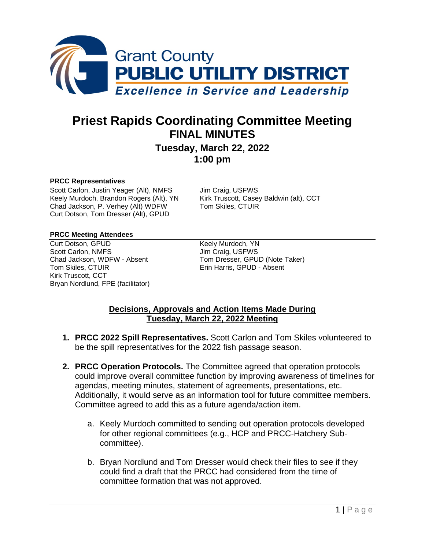

# **Priest Rapids Coordinating Committee Meeting FINAL MINUTES**

## **Tuesday, March 22, 2022 1:00 pm**

#### **PRCC Representatives**

Scott Carlon, Justin Yeager (Alt), NMFS Jim Craig, USFWS<br>
Keely Murdoch, Brandon Rogers (Alt), YN Kirk Truscott, Casey Baldwin (alt), CCT Keely Murdoch, Brandon Rogers (Alt), YN Kirk Truscott, Casey<br>Chad Jackson, P. Verhey (Alt) WDFW Tom Skiles, CTUIR Chad Jackson, P. Verhey (Alt) WDFW Curt Dotson, Tom Dresser (Alt), GPUD

#### **PRCC Meeting Attendees**

Curt Dotson, GPUD<br>
Scott Carlon, NMFS<br>
Scott Carlon, NMFS<br>
The Craig, USFWS Scott Carlon, NMFS<br>
Chad Jackson, WDFW - Absent<br>
Tom Dresser, GPUI Kirk Truscott, CCT Bryan Nordlund, FPE (facilitator)

Chad Jackson, WDFW - Absent Tom Dresser, GPUD (Note Taker)<br>Tom Skiles. CTUIR<br>Tom Skiles. CTUIR Erin Harris, GPUD - Absent

#### **Decisions, Approvals and Action Items Made During Tuesday, March 22, 2022 Meeting**

- **1. PRCC 2022 Spill Representatives.** Scott Carlon and Tom Skiles volunteered to be the spill representatives for the 2022 fish passage season.
- **2. PRCC Operation Protocols.** The Committee agreed that operation protocols could improve overall committee function by improving awareness of timelines for agendas, meeting minutes, statement of agreements, presentations, etc. Additionally, it would serve as an information tool for future committee members. Committee agreed to add this as a future agenda/action item.
	- a. Keely Murdoch committed to sending out operation protocols developed for other regional committees (e.g., HCP and PRCC-Hatchery Subcommittee).
	- b. Bryan Nordlund and Tom Dresser would check their files to see if they could find a draft that the PRCC had considered from the time of committee formation that was not approved.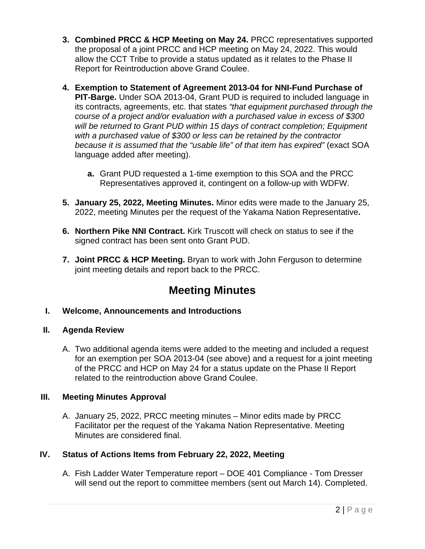- **3. Combined PRCC & HCP Meeting on May 24. PRCC representatives supported** the proposal of a joint PRCC and HCP meeting on May 24, 2022. This would allow the CCT Tribe to provide a status updated as it relates to the Phase II Report for Reintroduction above Grand Coulee.
- **4. Exemption to Statement of Agreement 2013-04 for NNI-Fund Purchase of PIT-Barge.** Under SOA 2013-04, Grant PUD is required to included language in its contracts, agreements, etc. that states *"that equipment purchased through the course of a project and/or evaluation with a purchased value in excess of \$300 will be returned to Grant PUD within 15 days of contract completion; Equipment with a purchased value of \$300 or less can be retained by the contractor because it is assumed that the "usable life" of that item has expired"* (exact SOA language added after meeting).
	- **a.** Grant PUD requested a 1-time exemption to this SOA and the PRCC Representatives approved it, contingent on a follow-up with WDFW.
- **5. January 25, 2022, Meeting Minutes.** Minor edits were made to the January 25, 2022, meeting Minutes per the request of the Yakama Nation Representative**.**
- **6. Northern Pike NNI Contract.** Kirk Truscott will check on status to see if the signed contract has been sent onto Grant PUD.
- **7. Joint PRCC & HCP Meeting.** Bryan to work with John Ferguson to determine joint meeting details and report back to the PRCC.

## **Meeting Minutes**

### **I. Welcome, Announcements and Introductions**

### **II. Agenda Review**

A. Two additional agenda items were added to the meeting and included a request for an exemption per SOA 2013-04 (see above) and a request for a joint meeting of the PRCC and HCP on May 24 for a status update on the Phase II Report related to the reintroduction above Grand Coulee.

### **III. Meeting Minutes Approval**

A. January 25, 2022, PRCC meeting minutes – Minor edits made by PRCC Facilitator per the request of the Yakama Nation Representative. Meeting Minutes are considered final.

### **IV. Status of Actions Items from February 22, 2022, Meeting**

A. Fish Ladder Water Temperature report – DOE 401 Compliance - Tom Dresser will send out the report to committee members (sent out March 14). Completed.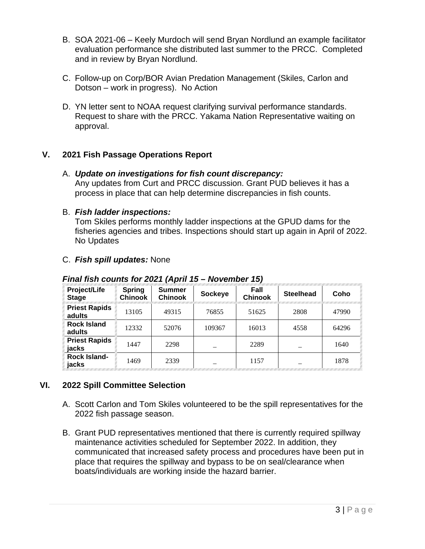- B. SOA 2021-06 Keely Murdoch will send Bryan Nordlund an example facilitator evaluation performance she distributed last summer to the PRCC. Completed and in review by Bryan Nordlund.
- C. Follow-up on Corp/BOR Avian Predation Management (Skiles, Carlon and Dotson – work in progress). No Action
- D. YN letter sent to NOAA request clarifying survival performance standards. Request to share with the PRCC. Yakama Nation Representative waiting on approval.

### **V. 2021 Fish Passage Operations Report**

#### A. *Update on investigations for fish count discrepancy:*

Any updates from Curt and PRCC discussion. Grant PUD believes it has a process in place that can help determine discrepancies in fish counts.

#### B. *Fish ladder inspections:*

Tom Skiles performs monthly ladder inspections at the GPUD dams for the fisheries agencies and tribes. Inspections should start up again in April of 2022. No Updates

#### C. *Fish spill updates:* None

| Project/Life<br><b>Stage</b>   | <b>Spring</b><br><b>Chinook</b> | <b>Summer</b><br><b>Chinook</b> | <b>Sockeye</b> | Fall<br><b>Chinook</b> | <b>Steelhead</b> | Coho  |
|--------------------------------|---------------------------------|---------------------------------|----------------|------------------------|------------------|-------|
| <b>Priest Rapids</b><br>adults | 13105                           | 49315                           | 76855          | 51625                  | 2808             | 47990 |
| <b>Rock Island</b><br>adults   | 12332                           | 52076                           | 109367         | 16013                  | 4558             | 64296 |
| <b>Priest Rapids</b><br>jacks  | 1447                            | 2298                            |                | 2289                   |                  | 1640  |
| <b>Rock Island-</b><br>jacks   | 1469                            | 2339                            |                | 1157                   |                  | 1878  |

#### *Final fish counts for 2021 (April 15 – November 15)*

### **VI. 2022 Spill Committee Selection**

- A. Scott Carlon and Tom Skiles volunteered to be the spill representatives for the 2022 fish passage season.
- B. Grant PUD representatives mentioned that there is currently required spillway maintenance activities scheduled for September 2022. In addition, they communicated that increased safety process and procedures have been put in place that requires the spillway and bypass to be on seal/clearance when boats/individuals are working inside the hazard barrier.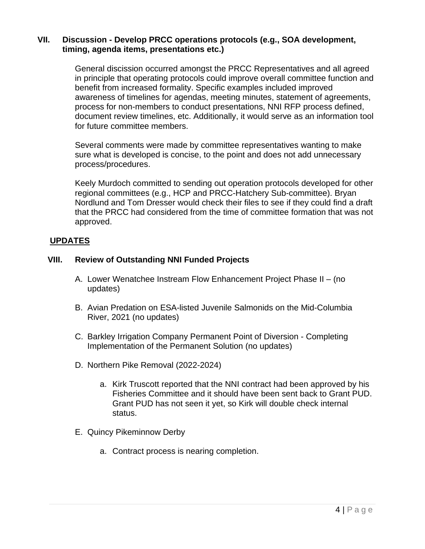#### **VII. Discussion - Develop PRCC operations protocols (e.g., SOA development, timing, agenda items, presentations etc.)**

General discission occurred amongst the PRCC Representatives and all agreed in principle that operating protocols could improve overall committee function and benefit from increased formality. Specific examples included improved awareness of timelines for agendas, meeting minutes, statement of agreements, process for non-members to conduct presentations, NNI RFP process defined, document review timelines, etc. Additionally, it would serve as an information tool for future committee members.

Several comments were made by committee representatives wanting to make sure what is developed is concise, to the point and does not add unnecessary process/procedures.

Keely Murdoch committed to sending out operation protocols developed for other regional committees (e.g., HCP and PRCC-Hatchery Sub-committee). Bryan Nordlund and Tom Dresser would check their files to see if they could find a draft that the PRCC had considered from the time of committee formation that was not approved.

#### **UPDATES**

#### **VIII. Review of Outstanding NNI Funded Projects**

- A. Lower Wenatchee Instream Flow Enhancement Project Phase II (no updates)
- B. Avian Predation on ESA-listed Juvenile Salmonids on the Mid-Columbia River, 2021 (no updates)
- C. Barkley Irrigation Company Permanent Point of Diversion Completing Implementation of the Permanent Solution (no updates)
- D. Northern Pike Removal (2022-2024)
	- a. Kirk Truscott reported that the NNI contract had been approved by his Fisheries Committee and it should have been sent back to Grant PUD. Grant PUD has not seen it yet, so Kirk will double check internal status.
- E. Quincy Pikeminnow Derby
	- a. Contract process is nearing completion.